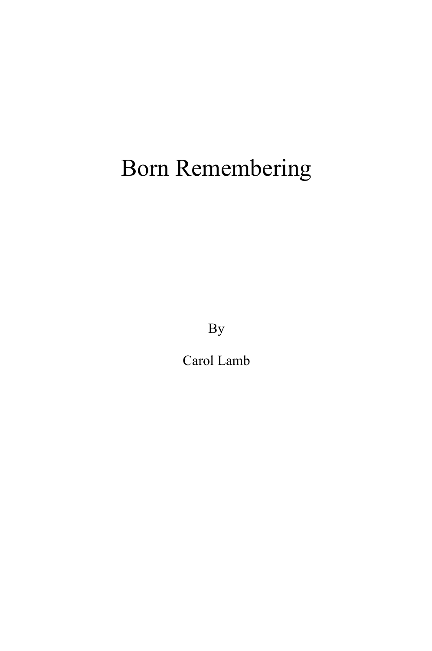# Born Remembering

By

Carol Lamb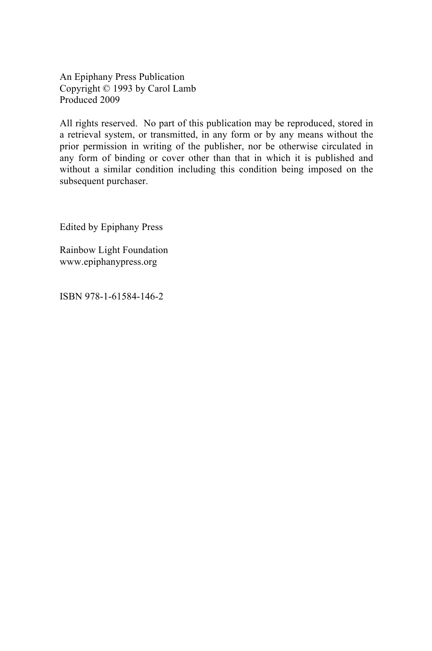An Epiphany Press Publication Copyright © 1993 by Carol Lamb Produced 2009

All rights reserved. No part of this publication may be reproduced, stored in a retrieval system, or transmitted, in any form or by any means without the prior permission in writing of the publisher, nor be otherwise circulated in any form of binding or cover other than that in which it is published and without a similar condition including this condition being imposed on the subsequent purchaser.

Edited by Epiphany Press

Rainbow Light Foundation www.epiphanypress.org

ISBN 978-1-61584-146-2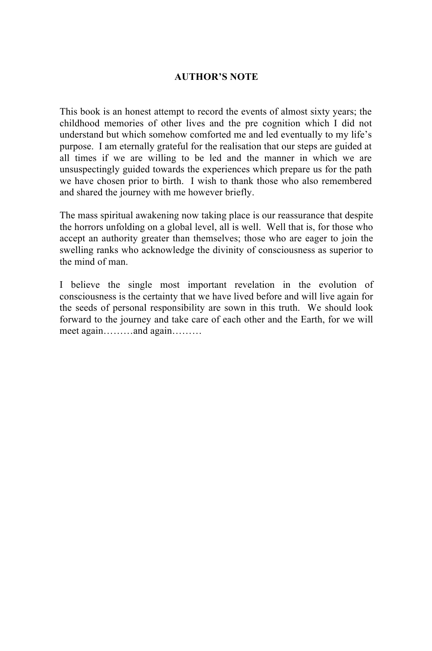#### **AUTHOR'S NOTE**

This book is an honest attempt to record the events of almost sixty years; the childhood memories of other lives and the pre cognition which I did not understand but which somehow comforted me and led eventually to my life's purpose. I am eternally grateful for the realisation that our steps are guided at all times if we are willing to be led and the manner in which we are unsuspectingly guided towards the experiences which prepare us for the path we have chosen prior to birth. I wish to thank those who also remembered and shared the journey with me however briefly.

The mass spiritual awakening now taking place is our reassurance that despite the horrors unfolding on a global level, all is well. Well that is, for those who accept an authority greater than themselves; those who are eager to join the swelling ranks who acknowledge the divinity of consciousness as superior to the mind of man.

I believe the single most important revelation in the evolution of consciousness is the certainty that we have lived before and will live again for the seeds of personal responsibility are sown in this truth. We should look forward to the journey and take care of each other and the Earth, for we will meet again………and again………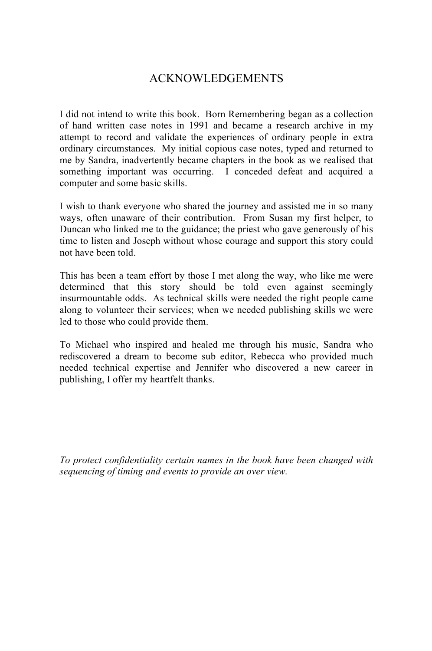## ACKNOWLEDGEMENTS

I did not intend to write this book. Born Remembering began as a collection of hand written case notes in 1991 and became a research archive in my attempt to record and validate the experiences of ordinary people in extra ordinary circumstances. My initial copious case notes, typed and returned to me by Sandra, inadvertently became chapters in the book as we realised that something important was occurring. I conceded defeat and acquired a computer and some basic skills.

I wish to thank everyone who shared the journey and assisted me in so many ways, often unaware of their contribution. From Susan my first helper, to Duncan who linked me to the guidance; the priest who gave generously of his time to listen and Joseph without whose courage and support this story could not have been told.

This has been a team effort by those I met along the way, who like me were determined that this story should be told even against seemingly insurmountable odds. As technical skills were needed the right people came along to volunteer their services; when we needed publishing skills we were led to those who could provide them.

To Michael who inspired and healed me through his music, Sandra who rediscovered a dream to become sub editor, Rebecca who provided much needed technical expertise and Jennifer who discovered a new career in publishing, I offer my heartfelt thanks.

*To protect confidentiality certain names in the book have been changed with sequencing of timing and events to provide an over view.*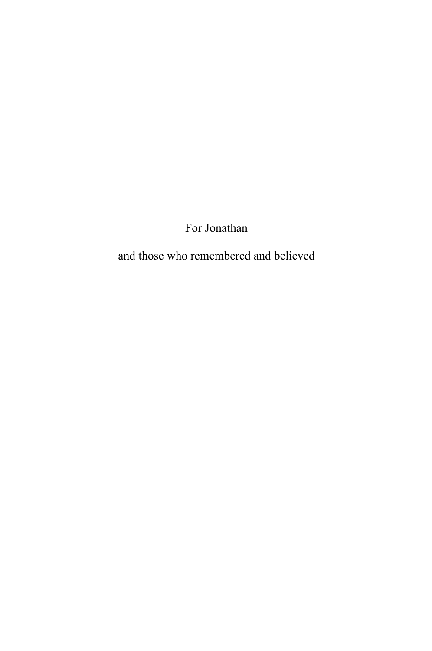For Jonathan

and those who remembered and believed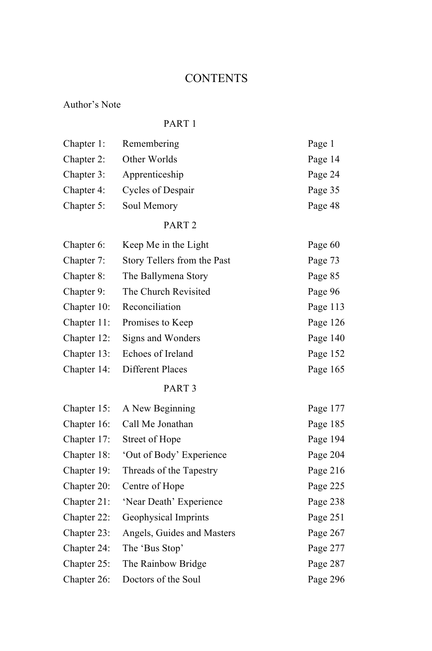## **CONTENTS**

### Author's Note

#### PART 1

| Chapter 1:  | Remembering                 | Page 1   |
|-------------|-----------------------------|----------|
| Chapter 2:  | Other Worlds                | Page 14  |
| Chapter 3:  | Apprenticeship              | Page 24  |
| Chapter 4:  | Cycles of Despair           | Page 35  |
| Chapter 5:  | Soul Memory                 | Page 48  |
|             | PART <sub>2</sub>           |          |
| Chapter 6:  | Keep Me in the Light        | Page 60  |
| Chapter 7:  | Story Tellers from the Past | Page 73  |
| Chapter 8:  | The Ballymena Story         | Page 85  |
| Chapter 9:  | The Church Revisited        | Page 96  |
| Chapter 10: | Reconciliation              | Page 113 |
| Chapter 11: | Promises to Keep            | Page 126 |
| Chapter 12: | Signs and Wonders           | Page 140 |
| Chapter 13: | Echoes of Ireland           | Page 152 |
| Chapter 14: | <b>Different Places</b>     | Page 165 |
|             | PART <sub>3</sub>           |          |
| Chapter 15: | A New Beginning             | Page 177 |
| Chapter 16: | Call Me Jonathan            | Page 185 |
| Chapter 17: | Street of Hope              | Page 194 |
| Chapter 18: | 'Out of Body' Experience    | Page 204 |
| Chapter 19: | Threads of the Tapestry     | Page 216 |
| Chapter 20: | Centre of Hope              | Page 225 |
| Chapter 21: | 'Near Death' Experience     | Page 238 |
| Chapter 22: | Geophysical Imprints        | Page 251 |
| Chapter 23: | Angels, Guides and Masters  | Page 267 |
| Chapter 24: | The 'Bus Stop'              | Page 277 |
| Chapter 25: | The Rainbow Bridge          | Page 287 |
| Chapter 26: | Doctors of the Soul         | Page 296 |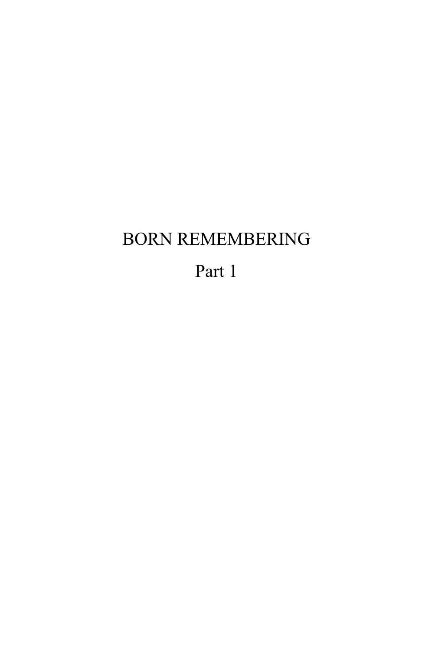## BORN REMEMBERING

Part 1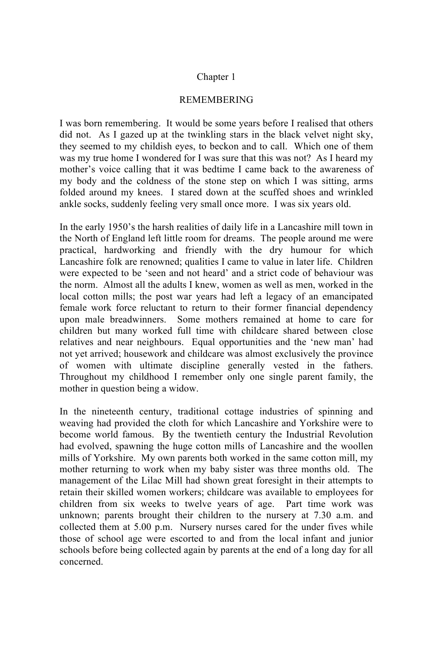#### Chapter 1

#### REMEMBERING

I was born remembering. It would be some years before I realised that others did not. As I gazed up at the twinkling stars in the black velvet night sky, they seemed to my childish eyes, to beckon and to call. Which one of them was my true home I wondered for I was sure that this was not? As I heard my mother's voice calling that it was bedtime I came back to the awareness of my body and the coldness of the stone step on which I was sitting, arms folded around my knees. I stared down at the scuffed shoes and wrinkled ankle socks, suddenly feeling very small once more. I was six years old.

In the early 1950's the harsh realities of daily life in a Lancashire mill town in the North of England left little room for dreams. The people around me were practical, hardworking and friendly with the dry humour for which Lancashire folk are renowned; qualities I came to value in later life. Children were expected to be 'seen and not heard' and a strict code of behaviour was the norm. Almost all the adults I knew, women as well as men, worked in the local cotton mills; the post war years had left a legacy of an emancipated female work force reluctant to return to their former financial dependency upon male breadwinners. Some mothers remained at home to care for children but many worked full time with childcare shared between close relatives and near neighbours. Equal opportunities and the 'new man' had not yet arrived; housework and childcare was almost exclusively the province of women with ultimate discipline generally vested in the fathers. Throughout my childhood I remember only one single parent family, the mother in question being a widow.

In the nineteenth century, traditional cottage industries of spinning and weaving had provided the cloth for which Lancashire and Yorkshire were to become world famous. By the twentieth century the Industrial Revolution had evolved, spawning the huge cotton mills of Lancashire and the woollen mills of Yorkshire. My own parents both worked in the same cotton mill, my mother returning to work when my baby sister was three months old. The management of the Lilac Mill had shown great foresight in their attempts to retain their skilled women workers; childcare was available to employees for children from six weeks to twelve years of age. Part time work was unknown; parents brought their children to the nursery at 7.30 a.m. and collected them at 5.00 p.m. Nursery nurses cared for the under fives while those of school age were escorted to and from the local infant and junior schools before being collected again by parents at the end of a long day for all concerned.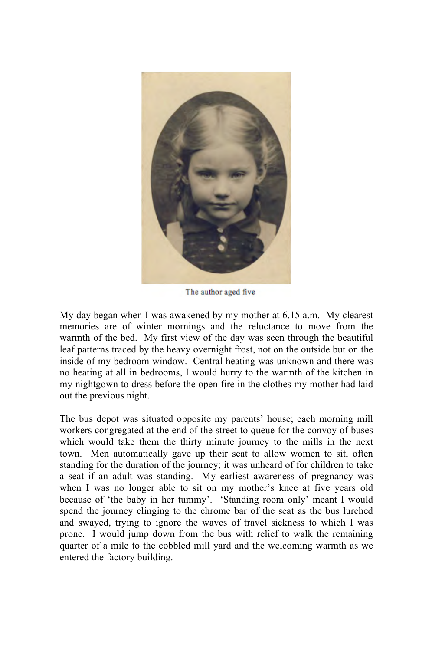

The author aged five

My day began when I was awakened by my mother at 6.15 a.m. My clearest memories are of winter mornings and the reluctance to move from the warmth of the bed. My first view of the day was seen through the beautiful leaf patterns traced by the heavy overnight frost, not on the outside but on the inside of my bedroom window. Central heating was unknown and there was no heating at all in bedrooms, I would hurry to the warmth of the kitchen in my nightgown to dress before the open fire in the clothes my mother had laid out the previous night.

The bus depot was situated opposite my parents' house; each morning mill workers congregated at the end of the street to queue for the convoy of buses which would take them the thirty minute journey to the mills in the next town. Men automatically gave up their seat to allow women to sit, often standing for the duration of the journey; it was unheard of for children to take a seat if an adult was standing. My earliest awareness of pregnancy was when I was no longer able to sit on my mother's knee at five years old because of 'the baby in her tummy'. 'Standing room only' meant I would spend the journey clinging to the chrome bar of the seat as the bus lurched and swayed, trying to ignore the waves of travel sickness to which I was prone. I would jump down from the bus with relief to walk the remaining quarter of a mile to the cobbled mill yard and the welcoming warmth as we entered the factory building.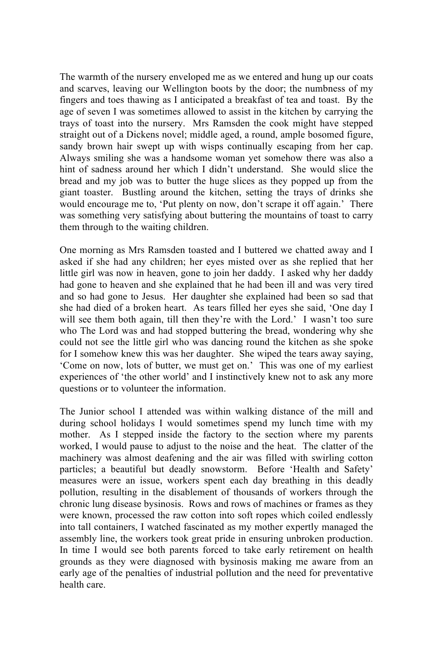The warmth of the nursery enveloped me as we entered and hung up our coats and scarves, leaving our Wellington boots by the door; the numbness of my fingers and toes thawing as I anticipated a breakfast of tea and toast. By the age of seven I was sometimes allowed to assist in the kitchen by carrying the trays of toast into the nursery. Mrs Ramsden the cook might have stepped straight out of a Dickens novel; middle aged, a round, ample bosomed figure, sandy brown hair swept up with wisps continually escaping from her cap. Always smiling she was a handsome woman yet somehow there was also a hint of sadness around her which I didn't understand. She would slice the bread and my job was to butter the huge slices as they popped up from the giant toaster. Bustling around the kitchen, setting the trays of drinks she would encourage me to, 'Put plenty on now, don't scrape it off again.' There was something very satisfying about buttering the mountains of toast to carry them through to the waiting children.

One morning as Mrs Ramsden toasted and I buttered we chatted away and I asked if she had any children; her eyes misted over as she replied that her little girl was now in heaven, gone to join her daddy. I asked why her daddy had gone to heaven and she explained that he had been ill and was very tired and so had gone to Jesus. Her daughter she explained had been so sad that she had died of a broken heart. As tears filled her eyes she said, 'One day I will see them both again, till then they're with the Lord.' I wasn't too sure who The Lord was and had stopped buttering the bread, wondering why she could not see the little girl who was dancing round the kitchen as she spoke for I somehow knew this was her daughter. She wiped the tears away saying, 'Come on now, lots of butter, we must get on.' This was one of my earliest experiences of 'the other world' and I instinctively knew not to ask any more questions or to volunteer the information.

The Junior school I attended was within walking distance of the mill and during school holidays I would sometimes spend my lunch time with my mother. As I stepped inside the factory to the section where my parents worked, I would pause to adjust to the noise and the heat. The clatter of the machinery was almost deafening and the air was filled with swirling cotton particles; a beautiful but deadly snowstorm. Before 'Health and Safety' measures were an issue, workers spent each day breathing in this deadly pollution, resulting in the disablement of thousands of workers through the chronic lung disease bysinosis. Rows and rows of machines or frames as they were known, processed the raw cotton into soft ropes which coiled endlessly into tall containers, I watched fascinated as my mother expertly managed the assembly line, the workers took great pride in ensuring unbroken production. In time I would see both parents forced to take early retirement on health grounds as they were diagnosed with bysinosis making me aware from an early age of the penalties of industrial pollution and the need for preventative health care.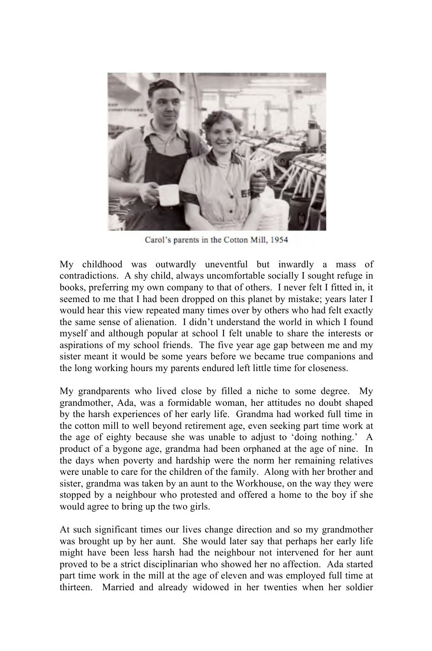

Carol's parents in the Cotton Mill, 1954

My childhood was outwardly uneventful but inwardly a mass of contradictions. A shy child, always uncomfortable socially I sought refuge in books, preferring my own company to that of others. I never felt I fitted in, it seemed to me that I had been dropped on this planet by mistake; years later I would hear this view repeated many times over by others who had felt exactly the same sense of alienation. I didn't understand the world in which I found myself and although popular at school I felt unable to share the interests or aspirations of my school friends. The five year age gap between me and my sister meant it would be some years before we became true companions and the long working hours my parents endured left little time for closeness.

My grandparents who lived close by filled a niche to some degree. My grandmother, Ada, was a formidable woman, her attitudes no doubt shaped by the harsh experiences of her early life. Grandma had worked full time in the cotton mill to well beyond retirement age, even seeking part time work at the age of eighty because she was unable to adjust to 'doing nothing.' A product of a bygone age, grandma had been orphaned at the age of nine. In the days when poverty and hardship were the norm her remaining relatives were unable to care for the children of the family. Along with her brother and sister, grandma was taken by an aunt to the Workhouse, on the way they were stopped by a neighbour who protested and offered a home to the boy if she would agree to bring up the two girls.

At such significant times our lives change direction and so my grandmother was brought up by her aunt. She would later say that perhaps her early life might have been less harsh had the neighbour not intervened for her aunt proved to be a strict disciplinarian who showed her no affection. Ada started part time work in the mill at the age of eleven and was employed full time at thirteen. Married and already widowed in her twenties when her soldier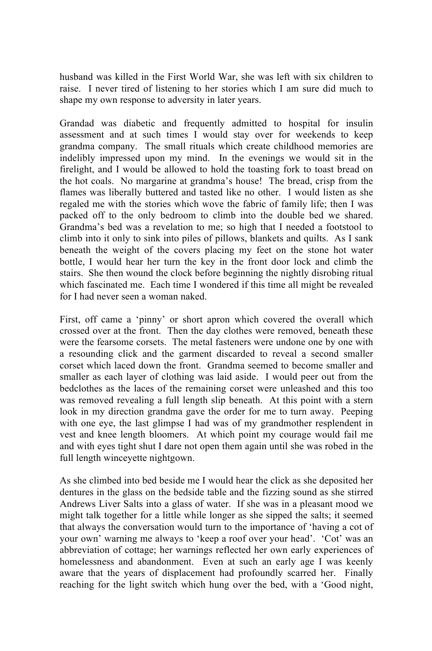husband was killed in the First World War, she was left with six children to raise. I never tired of listening to her stories which I am sure did much to shape my own response to adversity in later years.

Grandad was diabetic and frequently admitted to hospital for insulin assessment and at such times I would stay over for weekends to keep grandma company. The small rituals which create childhood memories are indelibly impressed upon my mind. In the evenings we would sit in the firelight, and I would be allowed to hold the toasting fork to toast bread on the hot coals. No margarine at grandma's house! The bread, crisp from the flames was liberally buttered and tasted like no other. I would listen as she regaled me with the stories which wove the fabric of family life; then I was packed off to the only bedroom to climb into the double bed we shared. Grandma's bed was a revelation to me; so high that I needed a footstool to climb into it only to sink into piles of pillows, blankets and quilts. As I sank beneath the weight of the covers placing my feet on the stone hot water bottle, I would hear her turn the key in the front door lock and climb the stairs. She then wound the clock before beginning the nightly disrobing ritual which fascinated me. Each time I wondered if this time all might be revealed for I had never seen a woman naked.

First, off came a 'pinny' or short apron which covered the overall which crossed over at the front. Then the day clothes were removed, beneath these were the fearsome corsets. The metal fasteners were undone one by one with a resounding click and the garment discarded to reveal a second smaller corset which laced down the front. Grandma seemed to become smaller and smaller as each layer of clothing was laid aside. I would peer out from the bedclothes as the laces of the remaining corset were unleashed and this too was removed revealing a full length slip beneath. At this point with a stern look in my direction grandma gave the order for me to turn away. Peeping with one eye, the last glimpse I had was of my grandmother resplendent in vest and knee length bloomers. At which point my courage would fail me and with eyes tight shut I dare not open them again until she was robed in the full length winceyette nightgown.

As she climbed into bed beside me I would hear the click as she deposited her dentures in the glass on the bedside table and the fizzing sound as she stirred Andrews Liver Salts into a glass of water. If she was in a pleasant mood we might talk together for a little while longer as she sipped the salts; it seemed that always the conversation would turn to the importance of 'having a cot of your own' warning me always to 'keep a roof over your head'. 'Cot' was an abbreviation of cottage; her warnings reflected her own early experiences of homelessness and abandonment. Even at such an early age I was keenly aware that the years of displacement had profoundly scarred her. Finally reaching for the light switch which hung over the bed, with a 'Good night,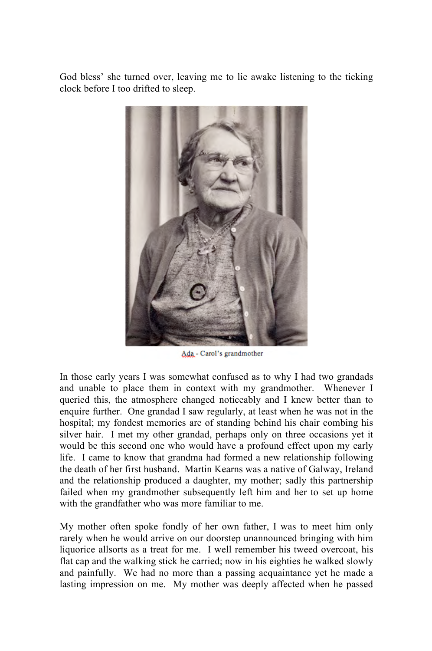God bless' she turned over, leaving me to lie awake listening to the ticking clock before I too drifted to sleep.



Ada - Carol's grandmother

In those early years I was somewhat confused as to why I had two grandads and unable to place them in context with my grandmother. Whenever I queried this, the atmosphere changed noticeably and I knew better than to enquire further. One grandad I saw regularly, at least when he was not in the hospital; my fondest memories are of standing behind his chair combing his silver hair. I met my other grandad, perhaps only on three occasions yet it would be this second one who would have a profound effect upon my early life. I came to know that grandma had formed a new relationship following the death of her first husband. Martin Kearns was a native of Galway, Ireland and the relationship produced a daughter, my mother; sadly this partnership failed when my grandmother subsequently left him and her to set up home with the grandfather who was more familiar to me.

My mother often spoke fondly of her own father, I was to meet him only rarely when he would arrive on our doorstep unannounced bringing with him liquorice allsorts as a treat for me. I well remember his tweed overcoat, his flat cap and the walking stick he carried; now in his eighties he walked slowly and painfully. We had no more than a passing acquaintance yet he made a lasting impression on me. My mother was deeply affected when he passed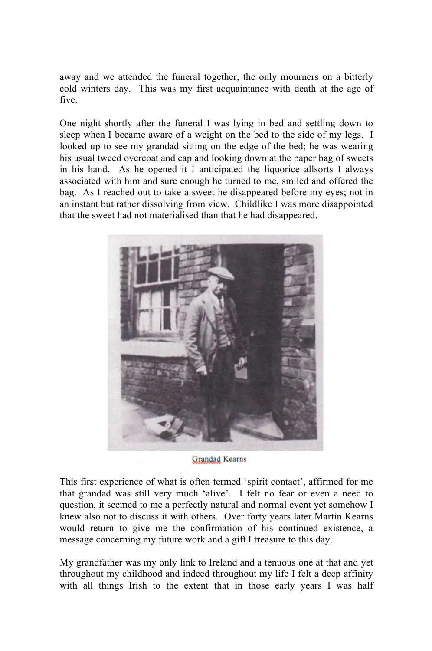away and we attended the funeral together, the only mourners on a bitterly cold winters day. This was my first acquaintance with death at the age of five.

One night shortly after the funeral I was lying in bed and settling down to sleep when I became aware of a weight on the bed to the side of my legs. I looked up to see my grandad sitting on the edge of the bed; he was wearing his usual tweed overcoat and cap and looking down at the paper bag of sweets in his hand. As he opened it I anticipated the liquorice allsorts I always associated with him and sure enough he turned to me, smiled and offered the bag. As I reached out to take a sweet he disappeared before my eyes; not in an instant but rather dissolving from view. Childlike I was more disappointed that the sweet had not materialised than that he had disappeared.



**Grandad Kearns** 

This first experience of what is often termed 'spirit contact', affirmed for me that grandad was still very much 'alive'. I felt no fear or even a need to question, it seemed to me a perfectly natural and normal event yet somehow I knew also not to discuss it with others. Over forty years later Martin Kearns would return to give me the confirmation of his continued existence, a message concerning my future work and a gift I treasure to this day.

My grandfather was my only link to Ireland and a tenuous one at that and yet throughout my childhood and indeed throughout my life I felt a deep affinity with all things Irish to the extent that in those early years I was half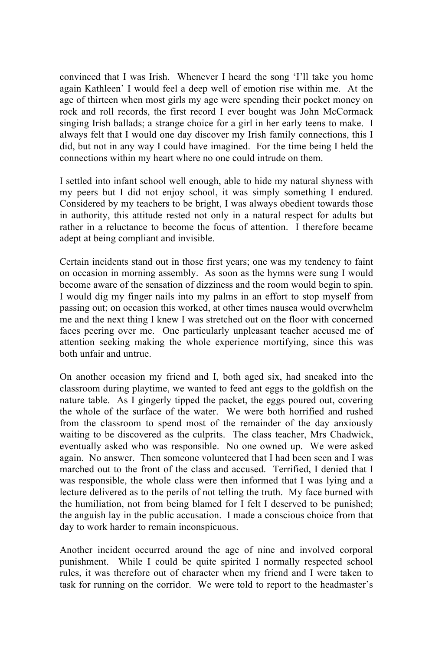convinced that I was Irish. Whenever I heard the song 'I'll take you home again Kathleen' I would feel a deep well of emotion rise within me. At the age of thirteen when most girls my age were spending their pocket money on rock and roll records, the first record I ever bought was John McCormack singing Irish ballads; a strange choice for a girl in her early teens to make. I always felt that I would one day discover my Irish family connections, this I did, but not in any way I could have imagined. For the time being I held the connections within my heart where no one could intrude on them.

I settled into infant school well enough, able to hide my natural shyness with my peers but I did not enjoy school, it was simply something I endured. Considered by my teachers to be bright, I was always obedient towards those in authority, this attitude rested not only in a natural respect for adults but rather in a reluctance to become the focus of attention. I therefore became adept at being compliant and invisible.

Certain incidents stand out in those first years; one was my tendency to faint on occasion in morning assembly. As soon as the hymns were sung I would become aware of the sensation of dizziness and the room would begin to spin. I would dig my finger nails into my palms in an effort to stop myself from passing out; on occasion this worked, at other times nausea would overwhelm me and the next thing I knew I was stretched out on the floor with concerned faces peering over me. One particularly unpleasant teacher accused me of attention seeking making the whole experience mortifying, since this was both unfair and untrue.

On another occasion my friend and I, both aged six, had sneaked into the classroom during playtime, we wanted to feed ant eggs to the goldfish on the nature table. As I gingerly tipped the packet, the eggs poured out, covering the whole of the surface of the water. We were both horrified and rushed from the classroom to spend most of the remainder of the day anxiously waiting to be discovered as the culprits. The class teacher, Mrs Chadwick, eventually asked who was responsible. No one owned up. We were asked again. No answer. Then someone volunteered that I had been seen and I was marched out to the front of the class and accused. Terrified, I denied that I was responsible, the whole class were then informed that I was lying and a lecture delivered as to the perils of not telling the truth. My face burned with the humiliation, not from being blamed for I felt I deserved to be punished; the anguish lay in the public accusation. I made a conscious choice from that day to work harder to remain inconspicuous.

Another incident occurred around the age of nine and involved corporal punishment. While I could be quite spirited I normally respected school rules, it was therefore out of character when my friend and I were taken to task for running on the corridor. We were told to report to the headmaster's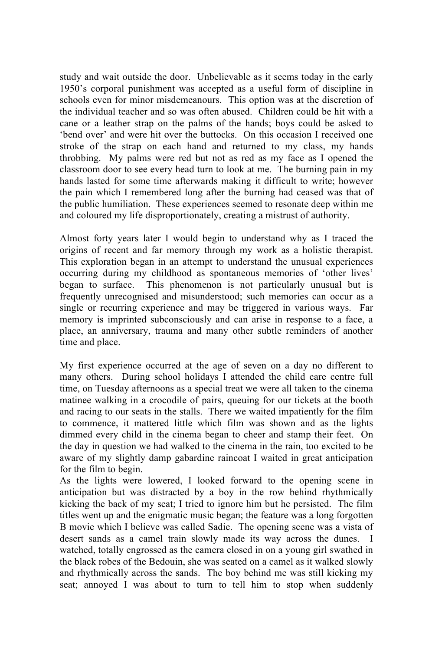study and wait outside the door. Unbelievable as it seems today in the early 1950's corporal punishment was accepted as a useful form of discipline in schools even for minor misdemeanours. This option was at the discretion of the individual teacher and so was often abused. Children could be hit with a cane or a leather strap on the palms of the hands; boys could be asked to 'bend over' and were hit over the buttocks. On this occasion I received one stroke of the strap on each hand and returned to my class, my hands throbbing. My palms were red but not as red as my face as I opened the classroom door to see every head turn to look at me. The burning pain in my hands lasted for some time afterwards making it difficult to write; however the pain which I remembered long after the burning had ceased was that of the public humiliation. These experiences seemed to resonate deep within me and coloured my life disproportionately, creating a mistrust of authority.

Almost forty years later I would begin to understand why as I traced the origins of recent and far memory through my work as a holistic therapist. This exploration began in an attempt to understand the unusual experiences occurring during my childhood as spontaneous memories of 'other lives' began to surface. This phenomenon is not particularly unusual but is frequently unrecognised and misunderstood; such memories can occur as a single or recurring experience and may be triggered in various ways. Far memory is imprinted subconsciously and can arise in response to a face, a place, an anniversary, trauma and many other subtle reminders of another time and place.

My first experience occurred at the age of seven on a day no different to many others. During school holidays I attended the child care centre full time, on Tuesday afternoons as a special treat we were all taken to the cinema matinee walking in a crocodile of pairs, queuing for our tickets at the booth and racing to our seats in the stalls. There we waited impatiently for the film to commence, it mattered little which film was shown and as the lights dimmed every child in the cinema began to cheer and stamp their feet. On the day in question we had walked to the cinema in the rain, too excited to be aware of my slightly damp gabardine raincoat I waited in great anticipation for the film to begin.

As the lights were lowered, I looked forward to the opening scene in anticipation but was distracted by a boy in the row behind rhythmically kicking the back of my seat; I tried to ignore him but he persisted. The film titles went up and the enigmatic music began; the feature was a long forgotten B movie which I believe was called Sadie. The opening scene was a vista of desert sands as a camel train slowly made its way across the dunes. I watched, totally engrossed as the camera closed in on a young girl swathed in the black robes of the Bedouin, she was seated on a camel as it walked slowly and rhythmically across the sands. The boy behind me was still kicking my seat; annoyed I was about to turn to tell him to stop when suddenly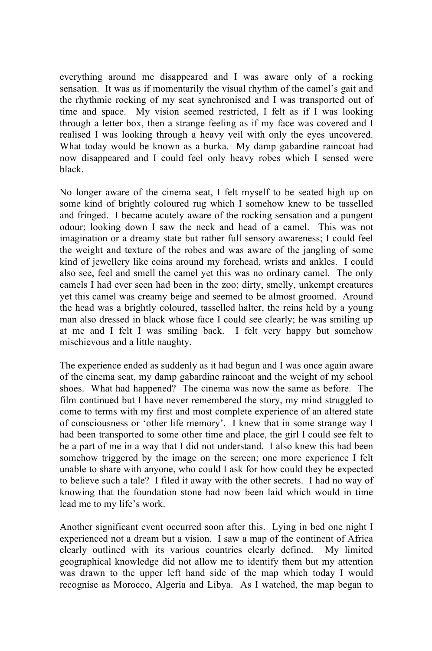everything around me disappeared and I was aware only of a rocking sensation. It was as if momentarily the visual rhythm of the camel's gait and the rhythmic rocking of my seat synchronised and I was transported out of time and space. My vision seemed restricted, I felt as if I was looking through a letter box, then a strange feeling as if my face was covered and I realised I was looking through a heavy veil with only the eyes uncovered. What today would be known as a burka. My damp gabardine raincoat had now disappeared and I could feel only heavy robes which I sensed were black.

No longer aware of the cinema seat, I felt myself to be seated high up on some kind of brightly coloured rug which I somehow knew to be tasselled and fringed. I became acutely aware of the rocking sensation and a pungent odour; looking down I saw the neck and head of a camel. This was not imagination or a dreamy state but rather full sensory awareness; I could feel the weight and texture of the robes and was aware of the jangling of some kind of jewellery like coins around my forehead, wrists and ankles. I could also see, feel and smell the camel yet this was no ordinary camel. The only camels I had ever seen had been in the zoo; dirty, smelly, unkempt creatures yet this camel was creamy beige and seemed to be almost groomed. Around the head was a brightly coloured, tasselled halter, the reins held by a young man also dressed in black whose face I could see clearly; he was smiling up at me and I felt I was smiling back. I felt very happy but somehow mischievous and a little naughty.

The experience ended as suddenly as it had begun and I was once again aware of the cinema seat, my damp gabardine raincoat and the weight of my school shoes. What had happened? The cinema was now the same as before. The film continued but I have never remembered the story, my mind struggled to come to terms with my first and most complete experience of an altered state of consciousness or 'other life memory'. I knew that in some strange way I had been transported to some other time and place, the girl I could see felt to be a part of me in a way that I did not understand. I also knew this had been somehow triggered by the image on the screen; one more experience I felt unable to share with anyone, who could I ask for how could they be expected to believe such a tale? I filed it away with the other secrets. I had no way of knowing that the foundation stone had now been laid which would in time lead me to my life's work.

Another significant event occurred soon after this. Lying in bed one night I experienced not a dream but a vision. I saw a map of the continent of Africa clearly outlined with its various countries clearly defined. My limited geographical knowledge did not allow me to identify them but my attention was drawn to the upper left hand side of the map which today I would recognise as Morocco, Algeria and Libya. As I watched, the map began to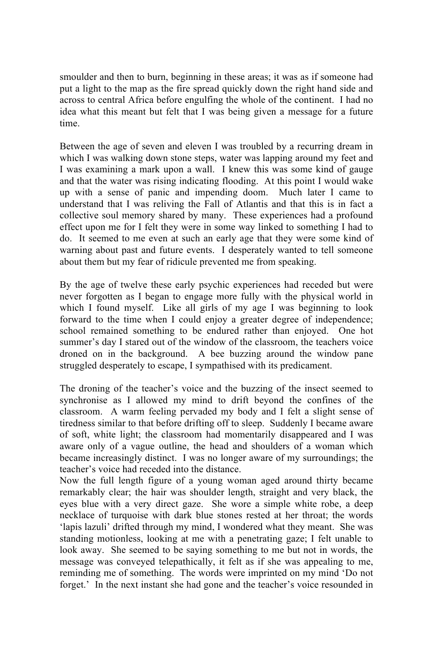smoulder and then to burn, beginning in these areas; it was as if someone had put a light to the map as the fire spread quickly down the right hand side and across to central Africa before engulfing the whole of the continent. I had no idea what this meant but felt that I was being given a message for a future time.

Between the age of seven and eleven I was troubled by a recurring dream in which I was walking down stone steps, water was lapping around my feet and I was examining a mark upon a wall. I knew this was some kind of gauge and that the water was rising indicating flooding. At this point I would wake up with a sense of panic and impending doom. Much later I came to understand that I was reliving the Fall of Atlantis and that this is in fact a collective soul memory shared by many. These experiences had a profound effect upon me for I felt they were in some way linked to something I had to do. It seemed to me even at such an early age that they were some kind of warning about past and future events. I desperately wanted to tell someone about them but my fear of ridicule prevented me from speaking.

By the age of twelve these early psychic experiences had receded but were never forgotten as I began to engage more fully with the physical world in which I found myself. Like all girls of my age I was beginning to look forward to the time when I could enjoy a greater degree of independence; school remained something to be endured rather than enjoyed. One hot summer's day I stared out of the window of the classroom, the teachers voice droned on in the background. A bee buzzing around the window pane struggled desperately to escape, I sympathised with its predicament.

The droning of the teacher's voice and the buzzing of the insect seemed to synchronise as I allowed my mind to drift beyond the confines of the classroom. A warm feeling pervaded my body and I felt a slight sense of tiredness similar to that before drifting off to sleep. Suddenly I became aware of soft, white light; the classroom had momentarily disappeared and I was aware only of a vague outline, the head and shoulders of a woman which became increasingly distinct. I was no longer aware of my surroundings; the teacher's voice had receded into the distance.

Now the full length figure of a young woman aged around thirty became remarkably clear; the hair was shoulder length, straight and very black, the eyes blue with a very direct gaze. She wore a simple white robe, a deep necklace of turquoise with dark blue stones rested at her throat; the words 'lapis lazuli' drifted through my mind, I wondered what they meant. She was standing motionless, looking at me with a penetrating gaze; I felt unable to look away. She seemed to be saying something to me but not in words, the message was conveyed telepathically, it felt as if she was appealing to me, reminding me of something. The words were imprinted on my mind 'Do not forget.' In the next instant she had gone and the teacher's voice resounded in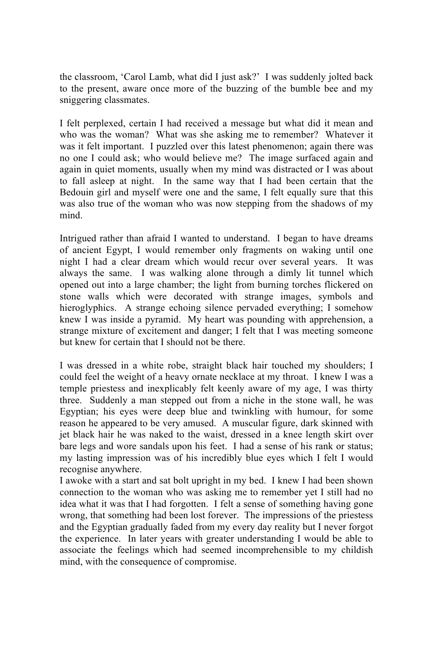the classroom, 'Carol Lamb, what did I just ask?' I was suddenly jolted back to the present, aware once more of the buzzing of the bumble bee and my sniggering classmates.

I felt perplexed, certain I had received a message but what did it mean and who was the woman? What was she asking me to remember? Whatever it was it felt important. I puzzled over this latest phenomenon; again there was no one I could ask; who would believe me? The image surfaced again and again in quiet moments, usually when my mind was distracted or I was about to fall asleep at night. In the same way that I had been certain that the Bedouin girl and myself were one and the same, I felt equally sure that this was also true of the woman who was now stepping from the shadows of my mind.

Intrigued rather than afraid I wanted to understand. I began to have dreams of ancient Egypt, I would remember only fragments on waking until one night I had a clear dream which would recur over several years. It was always the same. I was walking alone through a dimly lit tunnel which opened out into a large chamber; the light from burning torches flickered on stone walls which were decorated with strange images, symbols and hieroglyphics. A strange echoing silence pervaded everything; I somehow knew I was inside a pyramid. My heart was pounding with apprehension, a strange mixture of excitement and danger; I felt that I was meeting someone but knew for certain that I should not be there.

I was dressed in a white robe, straight black hair touched my shoulders; I could feel the weight of a heavy ornate necklace at my throat. I knew I was a temple priestess and inexplicably felt keenly aware of my age, I was thirty three. Suddenly a man stepped out from a niche in the stone wall, he was Egyptian; his eyes were deep blue and twinkling with humour, for some reason he appeared to be very amused. A muscular figure, dark skinned with jet black hair he was naked to the waist, dressed in a knee length skirt over bare legs and wore sandals upon his feet. I had a sense of his rank or status; my lasting impression was of his incredibly blue eyes which I felt I would recognise anywhere.

I awoke with a start and sat bolt upright in my bed. I knew I had been shown connection to the woman who was asking me to remember yet I still had no idea what it was that I had forgotten. I felt a sense of something having gone wrong, that something had been lost forever. The impressions of the priestess and the Egyptian gradually faded from my every day reality but I never forgot the experience. In later years with greater understanding I would be able to associate the feelings which had seemed incomprehensible to my childish mind, with the consequence of compromise.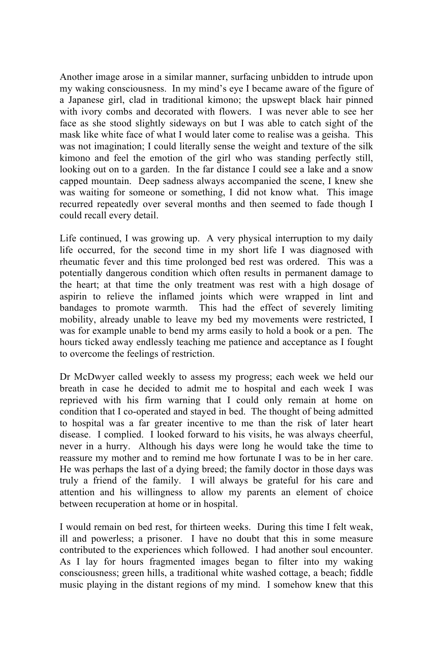Another image arose in a similar manner, surfacing unbidden to intrude upon my waking consciousness. In my mind's eye I became aware of the figure of a Japanese girl, clad in traditional kimono; the upswept black hair pinned with ivory combs and decorated with flowers. I was never able to see her face as she stood slightly sideways on but I was able to catch sight of the mask like white face of what I would later come to realise was a geisha. This was not imagination; I could literally sense the weight and texture of the silk kimono and feel the emotion of the girl who was standing perfectly still, looking out on to a garden. In the far distance I could see a lake and a snow capped mountain. Deep sadness always accompanied the scene, I knew she was waiting for someone or something, I did not know what. This image recurred repeatedly over several months and then seemed to fade though I could recall every detail.

Life continued, I was growing up. A very physical interruption to my daily life occurred, for the second time in my short life I was diagnosed with rheumatic fever and this time prolonged bed rest was ordered. This was a potentially dangerous condition which often results in permanent damage to the heart; at that time the only treatment was rest with a high dosage of aspirin to relieve the inflamed joints which were wrapped in lint and bandages to promote warmth. This had the effect of severely limiting mobility, already unable to leave my bed my movements were restricted, I was for example unable to bend my arms easily to hold a book or a pen. The hours ticked away endlessly teaching me patience and acceptance as I fought to overcome the feelings of restriction.

Dr McDwyer called weekly to assess my progress; each week we held our breath in case he decided to admit me to hospital and each week I was reprieved with his firm warning that I could only remain at home on condition that I co-operated and stayed in bed. The thought of being admitted to hospital was a far greater incentive to me than the risk of later heart disease. I complied. I looked forward to his visits, he was always cheerful, never in a hurry. Although his days were long he would take the time to reassure my mother and to remind me how fortunate I was to be in her care. He was perhaps the last of a dying breed; the family doctor in those days was truly a friend of the family. I will always be grateful for his care and attention and his willingness to allow my parents an element of choice between recuperation at home or in hospital.

I would remain on bed rest, for thirteen weeks. During this time I felt weak, ill and powerless; a prisoner. I have no doubt that this in some measure contributed to the experiences which followed. I had another soul encounter. As I lay for hours fragmented images began to filter into my waking consciousness; green hills, a traditional white washed cottage, a beach; fiddle music playing in the distant regions of my mind. I somehow knew that this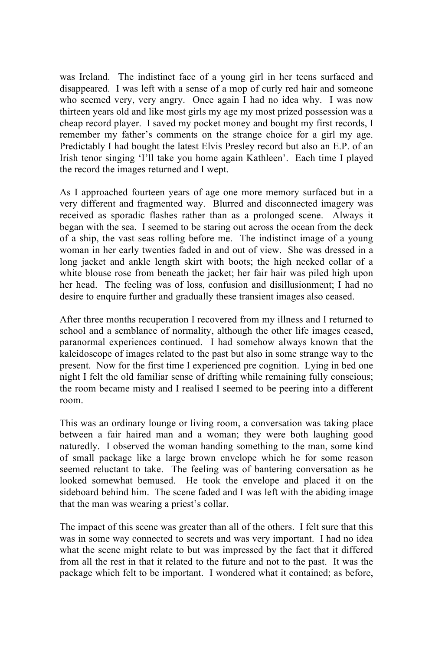was Ireland. The indistinct face of a young girl in her teens surfaced and disappeared. I was left with a sense of a mop of curly red hair and someone who seemed very, very angry. Once again I had no idea why. I was now thirteen years old and like most girls my age my most prized possession was a cheap record player. I saved my pocket money and bought my first records, I remember my father's comments on the strange choice for a girl my age. Predictably I had bought the latest Elvis Presley record but also an E.P. of an Irish tenor singing 'I'll take you home again Kathleen'. Each time I played the record the images returned and I wept.

As I approached fourteen years of age one more memory surfaced but in a very different and fragmented way. Blurred and disconnected imagery was received as sporadic flashes rather than as a prolonged scene. Always it began with the sea. I seemed to be staring out across the ocean from the deck of a ship, the vast seas rolling before me. The indistinct image of a young woman in her early twenties faded in and out of view. She was dressed in a long jacket and ankle length skirt with boots; the high necked collar of a white blouse rose from beneath the jacket; her fair hair was piled high upon her head. The feeling was of loss, confusion and disillusionment; I had no desire to enquire further and gradually these transient images also ceased.

After three months recuperation I recovered from my illness and I returned to school and a semblance of normality, although the other life images ceased, paranormal experiences continued. I had somehow always known that the kaleidoscope of images related to the past but also in some strange way to the present. Now for the first time I experienced pre cognition. Lying in bed one night I felt the old familiar sense of drifting while remaining fully conscious; the room became misty and I realised I seemed to be peering into a different room.

This was an ordinary lounge or living room, a conversation was taking place between a fair haired man and a woman; they were both laughing good naturedly. I observed the woman handing something to the man, some kind of small package like a large brown envelope which he for some reason seemed reluctant to take. The feeling was of bantering conversation as he looked somewhat bemused. He took the envelope and placed it on the sideboard behind him. The scene faded and I was left with the abiding image that the man was wearing a priest's collar.

The impact of this scene was greater than all of the others. I felt sure that this was in some way connected to secrets and was very important. I had no idea what the scene might relate to but was impressed by the fact that it differed from all the rest in that it related to the future and not to the past. It was the package which felt to be important. I wondered what it contained; as before,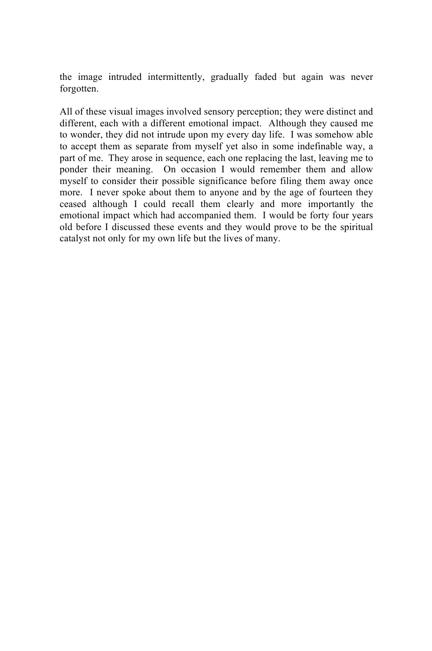the image intruded intermittently, gradually faded but again was never forgotten.

All of these visual images involved sensory perception; they were distinct and different, each with a different emotional impact. Although they caused me to wonder, they did not intrude upon my every day life. I was somehow able to accept them as separate from myself yet also in some indefinable way, a part of me. They arose in sequence, each one replacing the last, leaving me to ponder their meaning. On occasion I would remember them and allow myself to consider their possible significance before filing them away once more. I never spoke about them to anyone and by the age of fourteen they ceased although I could recall them clearly and more importantly the emotional impact which had accompanied them. I would be forty four years old before I discussed these events and they would prove to be the spiritual catalyst not only for my own life but the lives of many.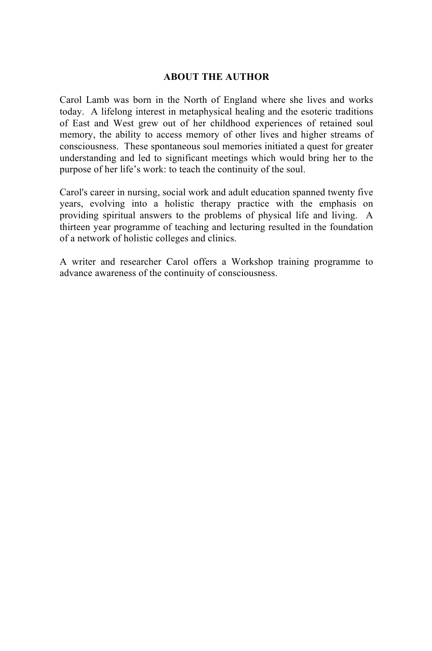#### **ABOUT THE AUTHOR**

Carol Lamb was born in the North of England where she lives and works today. A lifelong interest in metaphysical healing and the esoteric traditions of East and West grew out of her childhood experiences of retained soul memory, the ability to access memory of other lives and higher streams of consciousness. These spontaneous soul memories initiated a quest for greater understanding and led to significant meetings which would bring her to the purpose of her life's work: to teach the continuity of the soul.

Carol's career in nursing, social work and adult education spanned twenty five years, evolving into a holistic therapy practice with the emphasis on providing spiritual answers to the problems of physical life and living. A thirteen year programme of teaching and lecturing resulted in the foundation of a network of holistic colleges and clinics.

A writer and researcher Carol offers a Workshop training programme to advance awareness of the continuity of consciousness.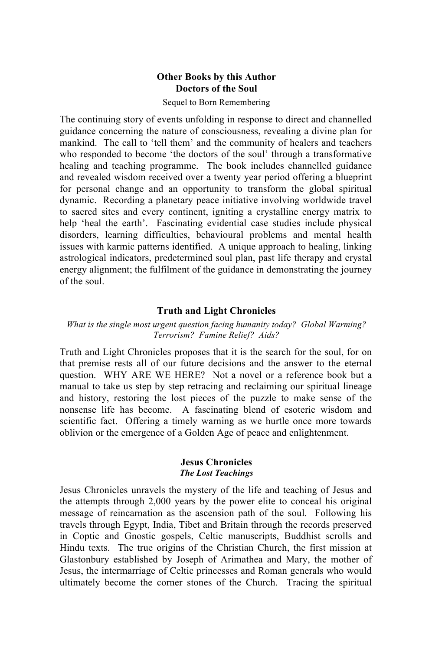#### **Other Books by this Author Doctors of the Soul**

#### Sequel to Born Remembering

The continuing story of events unfolding in response to direct and channelled guidance concerning the nature of consciousness, revealing a divine plan for mankind. The call to 'tell them' and the community of healers and teachers who responded to become 'the doctors of the soul' through a transformative healing and teaching programme. The book includes channelled guidance and revealed wisdom received over a twenty year period offering a blueprint for personal change and an opportunity to transform the global spiritual dynamic. Recording a planetary peace initiative involving worldwide travel to sacred sites and every continent, igniting a crystalline energy matrix to help 'heal the earth'. Fascinating evidential case studies include physical disorders, learning difficulties, behavioural problems and mental health issues with karmic patterns identified. A unique approach to healing, linking astrological indicators, predetermined soul plan, past life therapy and crystal energy alignment; the fulfilment of the guidance in demonstrating the journey of the soul.

#### **Truth and Light Chronicles**

#### *What is the single most urgent question facing humanity today? Global Warming? Terrorism? Famine Relief? Aids?*

Truth and Light Chronicles proposes that it is the search for the soul, for on that premise rests all of our future decisions and the answer to the eternal question. WHY ARE WE HERE? Not a novel or a reference book but a manual to take us step by step retracing and reclaiming our spiritual lineage and history, restoring the lost pieces of the puzzle to make sense of the nonsense life has become. A fascinating blend of esoteric wisdom and scientific fact. Offering a timely warning as we hurtle once more towards oblivion or the emergence of a Golden Age of peace and enlightenment.

#### **Jesus Chronicles** *The Lost Teachings*

Jesus Chronicles unravels the mystery of the life and teaching of Jesus and the attempts through 2,000 years by the power elite to conceal his original message of reincarnation as the ascension path of the soul. Following his travels through Egypt, India, Tibet and Britain through the records preserved in Coptic and Gnostic gospels, Celtic manuscripts, Buddhist scrolls and Hindu texts. The true origins of the Christian Church, the first mission at Glastonbury established by Joseph of Arimathea and Mary, the mother of Jesus, the intermarriage of Celtic princesses and Roman generals who would ultimately become the corner stones of the Church. Tracing the spiritual